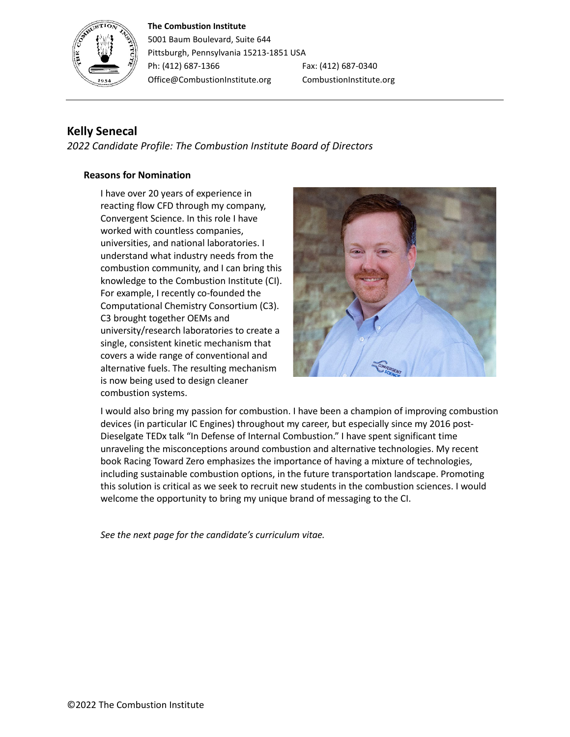# **The Combustion Institute**



5001 Baum Boulevard, Suite 644 Pittsburgh, Pennsylvania 15213-1851 USA Ph: (412) 687-1366 Fax: (412) 687-0340 Office@CombustionInstitute.org CombustionInstitute.org

# **Kelly Senecal**

*2022 Candidate Profile: The Combustion Institute Board of Directors*

# **Reasons for Nomination**

I have over 20 years of experience in reacting flow CFD through my company, Convergent Science. In this role I have worked with countless companies, universities, and national laboratories. I understand what industry needs from the combustion community, and I can bring this knowledge to the Combustion Institute (CI). For example, I recently co-founded the Computational Chemistry Consortium (C3). C3 brought together OEMs and university/research laboratories to create a single, consistent kinetic mechanism that covers a wide range of conventional and alternative fuels. The resulting mechanism is now being used to design cleaner combustion systems.



I would also bring my passion for combustion. I have been a champion of improving combustion devices (in particular IC Engines) throughout my career, but especially since my 2016 post-Dieselgate TEDx talk "In Defense of Internal Combustion." I have spent significant time unraveling the misconceptions around combustion and alternative technologies. My recent book Racing Toward Zero emphasizes the importance of having a mixture of technologies, including sustainable combustion options, in the future transportation landscape. Promoting this solution is critical as we seek to recruit new students in the combustion sciences. I would welcome the opportunity to bring my unique brand of messaging to the CI.

*See the next page for the candidate's curriculum vitae.*